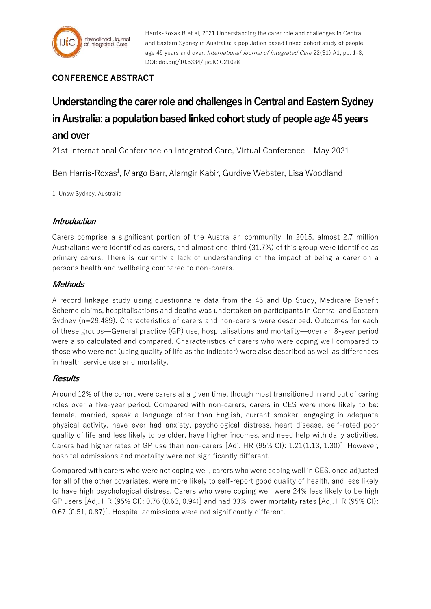## **CONFERENCE ABSTRACT**

# **Understanding the carer role and challenges in Central and Eastern Sydney in Australia: a population based linked cohort study of people age 45 years and over**

21st International Conference on Integrated Care, Virtual Conference – May 2021

Ben Harris-Roxas<sup>1</sup>, Margo Barr, Alamgir Kabir, Gurdive Webster, Lisa Woodland

1: Unsw Sydney, Australia

## **Introduction**

Carers comprise a significant portion of the Australian community. In 2015, almost 2.7 million Australians were identified as carers, and almost one-third (31.7%) of this group were identified as primary carers. There is currently a lack of understanding of the impact of being a carer on a persons health and wellbeing compared to non-carers.

## **Methods**

A record linkage study using questionnaire data from the 45 and Up Study, Medicare Benefit Scheme claims, hospitalisations and deaths was undertaken on participants in Central and Eastern Sydney (n=29,489). Characteristics of carers and non-carers were described. Outcomes for each of these groups—General practice (GP) use, hospitalisations and mortality—over an 8-year period were also calculated and compared. Characteristics of carers who were coping well compared to those who were not (using quality of life as the indicator) were also described as well as differences in health service use and mortality.

#### **Results**

Around 12% of the cohort were carers at a given time, though most transitioned in and out of caring roles over a five-year period. Compared with non-carers, carers in CES were more likely to be: female, married, speak a language other than English, current smoker, engaging in adequate physical activity, have ever had anxiety, psychological distress, heart disease, self-rated poor quality of life and less likely to be older, have higher incomes, and need help with daily activities. Carers had higher rates of GP use than non-carers [Adj. HR (95% CI): 1.21(1.13, 1.30)]. However, hospital admissions and mortality were not significantly different.

Compared with carers who were not coping well, carers who were coping well in CES, once adjusted for all of the other covariates, were more likely to self-report good quality of health, and less likely to have high psychological distress. Carers who were coping well were 24% less likely to be high GP users [Adj. HR (95% CI): 0.76 (0.63, 0.94)] and had 33% lower mortality rates [Adj. HR (95% CI): 0.67 (0.51, 0.87)]. Hospital admissions were not significantly different.